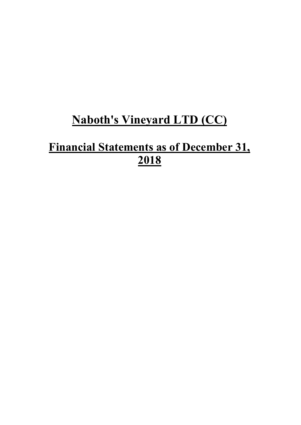# **Naboth's Vineyard LTD (CC)**

# **Financial Statements as of December 31, 2018**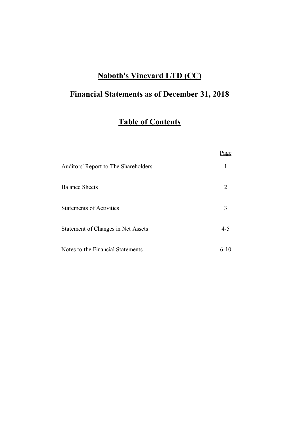## **Naboth's Vineyard LTD (CC)**

# **Financial Statements as of December 31, 2018**

# **Table of Contents**

|                                      | Page    |
|--------------------------------------|---------|
| Auditors' Report to The Shareholders | 1       |
| <b>Balance Sheets</b>                | 2       |
| <b>Statements of Activities</b>      | 3       |
| Statement of Changes in Net Assets   | $4 - 5$ |
| Notes to the Financial Statements    | $6-10$  |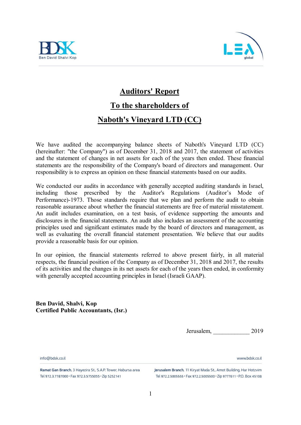



### **Auditors' Report**

# **To the shareholders of**

### **Naboth's Vineyard LTD (CC)**

We have audited the accompanying balance sheets of Naboth's Vineyard LTD (CC) (hereinafter: "the Company") as of December 31, 2018 and 2017, the statement of activities and the statement of changes in net assets for each of the years then ended. These financial statements are the responsibility of the Company's board of directors and management. Our responsibility is to express an opinion on these financial statements based on our audits.

We conducted our audits in accordance with generally accepted auditing standards in Israel, including those prescribed by the Auditor's Regulations (Auditor's Mode of Performance)-1973. Those standards require that we plan and perform the audit to obtain reasonable assurance about whether the financial statements are free of material misstatement. An audit includes examination, on a test basis, of evidence supporting the amounts and disclosures in the financial statements. An audit also includes an assessment of the accounting principles used and significant estimates made by the board of directors and management, as well as evaluating the overall financial statement presentation. We believe that our audits provide a reasonable basis for our opinion.

In our opinion, the financial statements referred to above present fairly, in all material respects, the financial position of the Company as of December 31, 2018 and 2017, the results of its activities and the changes in its net assets for each of the years then ended, in conformity with generally accepted accounting principles in Israel (Israeli GAAP).

**Ben David, Shalvi, Kop Certified Public Accountants, (Isr.)**

Jerusalem, \_\_\_\_\_\_\_\_\_\_\_\_ 2019

www.hdsk.co.il

info@hdsk.co.il

Ramat Gan Branch, 3 Hayezira St., S.A.P. Tower, Habursa area Tel 972.3.7787000 · Fax 972.3.5755055 · Zip 5252141

Jerusalem Branch, 11 Kiryat Mada St., Amot Building, Har Hotzvim Tel 972.2.5005555 · Fax 972.2.5005500 · Zip 9777611 · P.O. Box 45108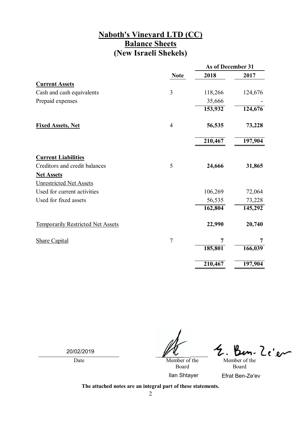### **Naboth's Vineyard LTD (CC) Balance Sheets (New Israeli Shekels)**

|                                          |                | As of December 31 |         |
|------------------------------------------|----------------|-------------------|---------|
|                                          | <b>Note</b>    | 2018              | 2017    |
| <b>Current Assets</b>                    |                |                   |         |
| Cash and cash equivalents                | 3              | 118,266           | 124,676 |
| Prepaid expenses                         |                | 35,666            |         |
|                                          |                | 153,932           | 124,676 |
| <b>Fixed Assets, Net</b>                 | $\overline{4}$ | 56,535            | 73,228  |
|                                          |                | 210,467           | 197,904 |
| <b>Current Liabilities</b>               |                |                   |         |
| Creditors and credit balances            | 5              | 24,666            | 31,865  |
| <b>Net Assets</b>                        |                |                   |         |
| <b>Unrestricted Net Assets</b>           |                |                   |         |
| Used for current activities              |                | 106,269           | 72,064  |
| Used for fixed assets                    |                | 56,535            | 73,228  |
|                                          |                | 162,804           | 145,292 |
| <b>Temporarily Restricted Net Assets</b> |                | 22,990            | 20,740  |
| <b>Share Capital</b>                     | $\overline{7}$ | 7                 | 7       |
|                                          |                | 185,801           | 166,039 |
|                                          |                | 210,467           | 197,904 |

20/02/2019

Date Member of the  $\mathscr{U}$ 

<u>Ze'er</u> Member of the

Board

Board Ilan Shtayer Efrat Ben-Ze'ev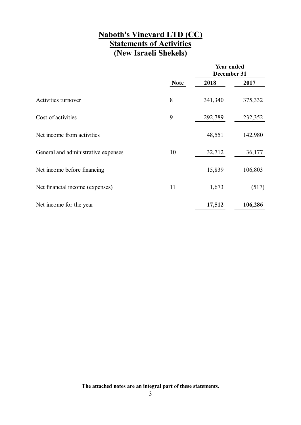### **Naboth's Vineyard LTD (CC) Statements of Activities (New Israeli Shekels)**

|                                     |             | <b>Year ended</b><br>December 31 |         |
|-------------------------------------|-------------|----------------------------------|---------|
|                                     | <b>Note</b> | 2018                             | 2017    |
| Activities turnover                 | 8           | 341,340                          | 375,332 |
| Cost of activities                  | 9           | 292,789                          | 232,352 |
| Net income from activities          |             | 48,551                           | 142,980 |
| General and administrative expenses | 10          | 32,712                           | 36,177  |
| Net income before financing         |             | 15,839                           | 106,803 |
| Net financial income (expenses)     | 11          | 1,673                            | (517)   |
| Net income for the year             |             | 17,512                           | 106,286 |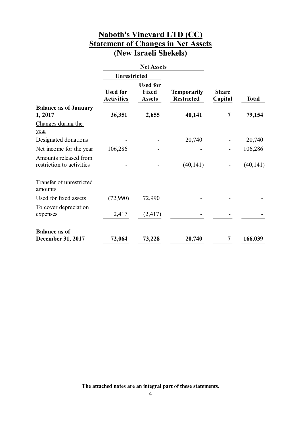### **Naboth's Vineyard LTD (CC) Statement of Changes in Net Assets (New Israeli Shekels)**

|                                                    |                                      | <b>Net Assets</b>                                |                                         |                         |              |
|----------------------------------------------------|--------------------------------------|--------------------------------------------------|-----------------------------------------|-------------------------|--------------|
|                                                    | <b>Unrestricted</b>                  |                                                  |                                         |                         |              |
|                                                    | <b>Used for</b><br><b>Activities</b> | <b>Used for</b><br><b>Fixed</b><br><b>Assets</b> | <b>Temporarily</b><br><b>Restricted</b> | <b>Share</b><br>Capital | <b>Total</b> |
| <b>Balance as of January</b><br>1, 2017            | 36,351                               | 2,655                                            | 40,141                                  | 7                       | 79,154       |
| Changes during the<br>year                         |                                      |                                                  |                                         |                         |              |
| Designated donations                               |                                      |                                                  | 20,740                                  |                         | 20,740       |
| Net income for the year                            | 106,286                              |                                                  |                                         |                         | 106,286      |
| Amounts released from<br>restriction to activities |                                      |                                                  | (40, 141)                               |                         | (40, 141)    |
| Transfer of unrestricted<br>amounts                |                                      |                                                  |                                         |                         |              |
| Used for fixed assets                              | (72,990)                             | 72,990                                           |                                         |                         |              |
| To cover depreciation<br>expenses                  | 2,417                                | (2, 417)                                         |                                         |                         |              |
| <b>Balance as of</b><br><b>December 31, 2017</b>   | 72,064                               | 73,228                                           | 20,740                                  | 7                       | 166,039      |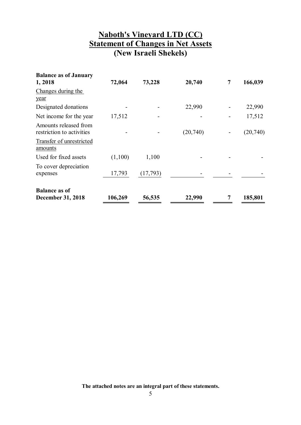### **Naboth's Vineyard LTD (CC) Statement of Changes in Net Assets (New Israeli Shekels)**

| <b>Balance as of January</b><br>1,2018             | 72,064  | 73,228   | 20,740   | 7 | 166,039  |
|----------------------------------------------------|---------|----------|----------|---|----------|
| Changes during the<br>year                         |         |          |          |   |          |
| Designated donations                               |         |          | 22,990   |   | 22,990   |
| Net income for the year                            | 17,512  |          |          |   | 17,512   |
| Amounts released from<br>restriction to activities |         |          | (20,740) |   | (20,740) |
| Transfer of unrestricted<br>amounts                |         |          |          |   |          |
| Used for fixed assets                              | (1,100) | 1,100    |          |   |          |
| To cover depreciation<br>expenses                  | 17,793  | (17,793) |          |   |          |
| <b>Balance as of</b><br><b>December 31, 2018</b>   | 106,269 | 56,535   | 22,990   |   | 185,801  |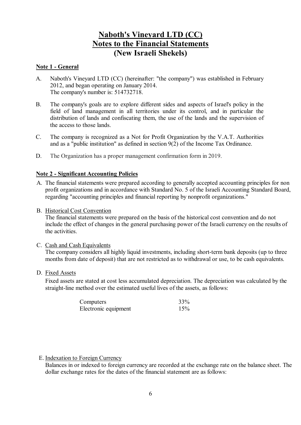#### **Note 1 - General**

- A. Naboth's Vineyard LTD (CC) (hereinafter: "the company") was established in February 2012, and began operating on January 2014. The company's number is: 514732718.
- B. The company's goals are to explore different sides and aspects of Israel's policy in the field of land management in all territories under its control, and in particular the distribution of lands and confiscating them, the use of the lands and the supervision of the access to those lands.
- C. The company is recognized as a Not for Profit Organization by the V.A.T. Authorities and as a "public institution" as defined in section 9(2) of the Income Tax Ordinance.
- D. The Organization has a proper management confirmation form in 2019.

#### **Note 2 - Significant Accounting Policies**

- A. The financial statements were prepared according to generally accepted accounting principles for non profit organizations and in accordance with Standard No. 5 of the Israeli Accounting Standard Board, regarding "accounting principles and financial reporting by nonprofit organizations."
- B. Historical Cost Convention

The financial statements were prepared on the basis of the historical cost convention and do not include the effect of changes in the general purchasing power of the Israeli currency on the results of the activities.

C. Cash and Cash Equivalents

The company considers all highly liquid investments, including short-term bank deposits (up to three months from date of deposit) that are not restricted as to withdrawal or use, to be cash equivalents.

D. Fixed Assets

Fixed assets are stated at cost less accumulated depreciation. The depreciation was calculated by the straight-line method over the estimated useful lives of the assets, as follows:

| Computers            | 33% |
|----------------------|-----|
| Electronic equipment | 15% |

#### E. Indexation to Foreign Currency

Balances in or indexed to foreign currency are recorded at the exchange rate on the balance sheet. The dollar exchange rates for the dates of the financial statement are as follows: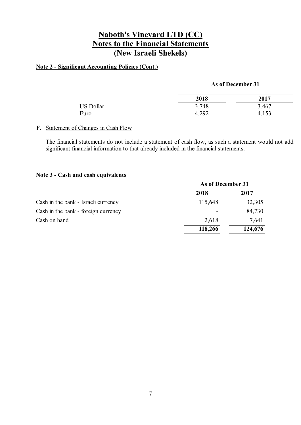### **Note 2 - Significant Accounting Policies (Cont.)**

#### **As of December 31**

|                  | 2018  | 2017  |
|------------------|-------|-------|
| <b>US Dollar</b> | 3.748 | 3.467 |
| Euro             | 4.292 | 4.153 |

#### F. Statement of Changes in Cash Flow

The financial statements do not include a statement of cash flow, as such a statement would not add significant financial information to that already included in the financial statements.

#### **Note 3 - Cash and cash equivalents**

|                                     | As of December 31 |         |
|-------------------------------------|-------------------|---------|
|                                     | 2018              | 2017    |
| Cash in the bank - Israeli currency | 115,648           | 32,305  |
| Cash in the bank - foreign currency |                   | 84,730  |
| Cash on hand                        | 2,618             | 7,641   |
|                                     | 118,266           | 124,676 |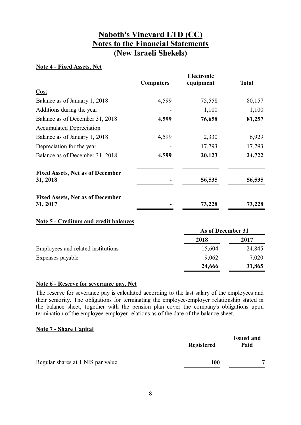#### **Note 4 - Fixed Assets, Net**

|                                                     | <b>Computers</b> | <b>Electronic</b><br>equipment | <b>Total</b> |
|-----------------------------------------------------|------------------|--------------------------------|--------------|
| Cost                                                |                  |                                |              |
| Balance as of January 1, 2018                       | 4,599            | 75,558                         | 80,157       |
| Additions during the year                           |                  | 1,100                          | 1,100        |
| Balance as of December 31, 2018                     | 4,599            | 76,658                         | 81,257       |
| <b>Accumulated Depreciation</b>                     |                  |                                |              |
| Balance as of January 1, 2018                       | 4,599            | 2,330                          | 6,929        |
| Depreciation for the year                           |                  | 17,793                         | 17,793       |
| Balance as of December 31, 2018                     | 4,599            | 20,123                         | 24,722       |
| <b>Fixed Assets, Net as of December</b><br>31, 2018 |                  | 56,535                         | 56,535       |
| <b>Fixed Assets, Net as of December</b><br>31, 2017 |                  | 73,228                         | 73,228       |
|                                                     |                  |                                |              |

#### **Note 5 - Creditors and credit balances**

|                                    | As of December 31 |        |
|------------------------------------|-------------------|--------|
|                                    | 2018              | 2017   |
| Employees and related institutions | 15,604            | 24,845 |
| Expenses payable                   | 9,062             | 7,020  |
|                                    | 24,666            | 31,865 |

#### **Note 6 - Reserve for severance pay, Net**

The reserve for severance pay is calculated according to the last salary of the employees and their seniority. The obligations for terminating the employee-employer relationship stated in the balance sheet, together with the pension plan cover the company's obligations upon termination of the employee-employer relations as of the date of the balance sheet.

#### **Note 7 - Share Capital**

|                                   | <b>Registered</b> | <b>Issued and</b><br>Paid |
|-----------------------------------|-------------------|---------------------------|
| Regular shares at 1 NIS par value | 100               | −                         |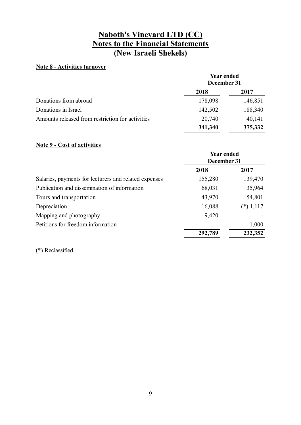#### **Note 8 - Activities turnover**

|                                                  | <b>Year ended</b><br>December 31 |         |
|--------------------------------------------------|----------------------------------|---------|
|                                                  | 2018                             | 2017    |
| Donations from abroad                            | 178,098                          | 146,851 |
| Donations in Israel                              | 142,502                          | 188,340 |
| Amounts released from restriction for activities | 20,740                           | 40,141  |
|                                                  | 341,340                          | 375,332 |

#### **Note 9 - Cost of activities**

|                                                       | <b>Year ended</b><br>December 31 |             |
|-------------------------------------------------------|----------------------------------|-------------|
|                                                       | 2018                             | 2017        |
| Salaries, payments for lecturers and related expenses | 155,280                          | 139,470     |
| Publication and dissemination of information          | 68,031                           | 35,964      |
| Tours and transportation                              | 43,970                           | 54,801      |
| Depreciation                                          | 16,088                           | $(*) 1,117$ |
| Mapping and photography                               | 9,420                            |             |
| Petitions for freedom information                     |                                  | 1,000       |
|                                                       | 292,789                          | 232,352     |

(\*) Reclassified